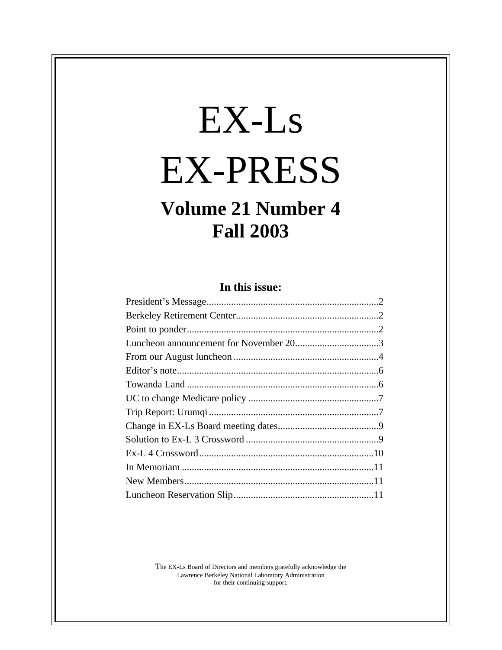# EX-Ls EX-PRESS

# **Volume 21 Number 4 Fall 2003**

# **In this issue:**

The EX-Ls Board of Directors and members gratefully acknowledge the Lawrence Berkeley National Laboratory Administration for their continuing support.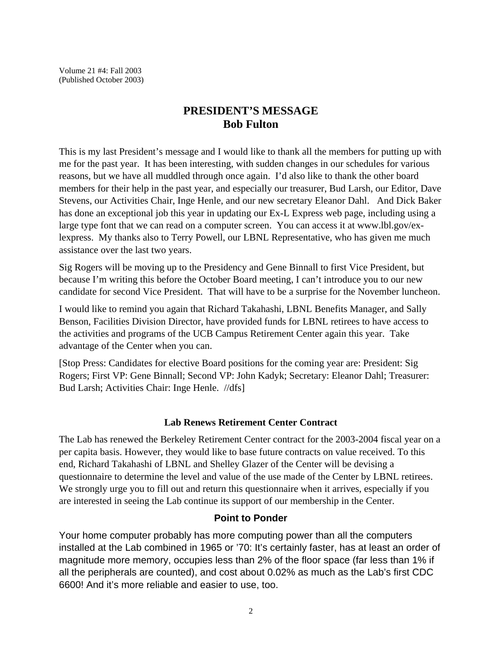Volume 21 #4: Fall 2003 (Published October 2003)

# **PRESIDENT'S MESSAGE Bob Fulton**

This is my last President's message and I would like to thank all the members for putting up with me for the past year. It has been interesting, with sudden changes in our schedules for various reasons, but we have all muddled through once again. I'd also like to thank the other board members for their help in the past year, and especially our treasurer, Bud Larsh, our Editor, Dave Stevens, our Activities Chair, Inge Henle, and our new secretary Eleanor Dahl. And Dick Baker has done an exceptional job this year in updating our Ex-L Express web page, including using a large type font that we can read on a computer screen. You can access it at www.lbl.gov/exlexpress. My thanks also to Terry Powell, our LBNL Representative, who has given me much assistance over the last two years.

Sig Rogers will be moving up to the Presidency and Gene Binnall to first Vice President, but because I'm writing this before the October Board meeting, I can't introduce you to our new candidate for second Vice President. That will have to be a surprise for the November luncheon.

I would like to remind you again that Richard Takahashi, LBNL Benefits Manager, and Sally Benson, Facilities Division Director, have provided funds for LBNL retirees to have access to the activities and programs of the UCB Campus Retirement Center again this year. Take advantage of the Center when you can.

[Stop Press: Candidates for elective Board positions for the coming year are: President: Sig Rogers; First VP: Gene Binnall; Second VP: John Kadyk; Secretary: Eleanor Dahl; Treasurer: Bud Larsh; Activities Chair: Inge Henle. //dfs]

# **Lab Renews Retirement Center Contract**

The Lab has renewed the Berkeley Retirement Center contract for the 2003-2004 fiscal year on a per capita basis. However, they would like to base future contracts on value received. To this end, Richard Takahashi of LBNL and Shelley Glazer of the Center will be devising a questionnaire to determine the level and value of the use made of the Center by LBNL retirees. We strongly urge you to fill out and return this questionnaire when it arrives, especially if you are interested in seeing the Lab continue its support of our membership in the Center.

# **Point to Ponder**

Your home computer probably has more computing power than all the computers installed at the Lab combined in 1965 or '70: It's certainly faster, has at least an order of magnitude more memory, occupies less than 2% of the floor space (far less than 1% if all the peripherals are counted), and cost about 0.02% as much as the Lab's first CDC 6600! And it's more reliable and easier to use, too.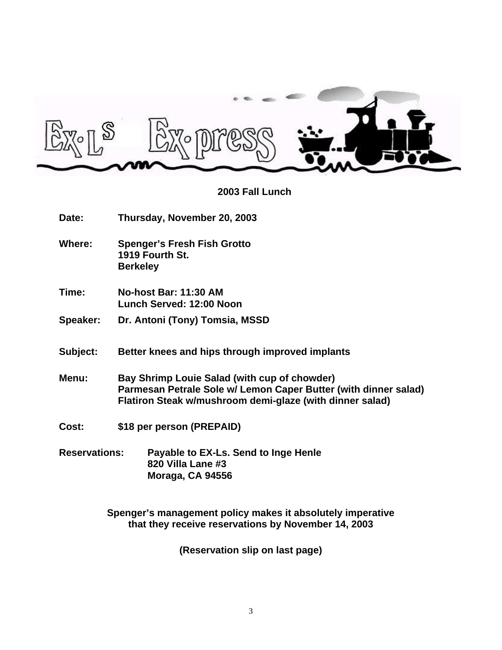

**2003 Fall Lunch**

- **Date: Thursday, November 20, 2003**
	- **Where: Spenger's Fresh Fish Grotto 1919 Fourth St. Berkeley**
	- **Time: No-host Bar: 11:30 AM Lunch Served: 12:00 Noon**
	- **Speaker: Dr. Antoni (Tony) Tomsia, MSSD**
	- **Subject: Better knees and hips through improved implants**
	- **Menu: Bay Shrimp Louie Salad (with cup of chowder) Parmesan Petrale Sole w/ Lemon Caper Butter (with dinner salad) Flatiron Steak w/mushroom demi-glaze (with dinner salad)**
	- **Cost: \$18 per person (PREPAID)**
	- **Reservations: Payable to EX-Ls. Send to Inge Henle 820 Villa Lane #3 Moraga, CA 94556**

**Spenger's management policy makes it absolutely imperative that they receive reservations by November 14, 2003**

**(Reservation slip on last page)**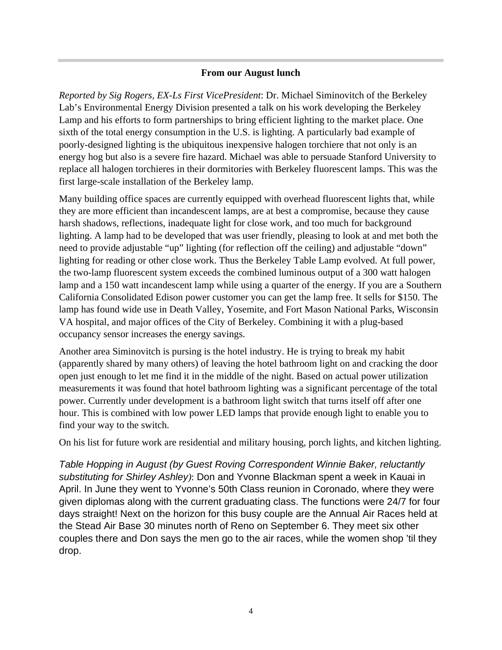## **From our August lunch**

*Reported by Sig Rogers, EX-Ls First VicePresident*: Dr. Michael Siminovitch of the Berkeley Lab's Environmental Energy Division presented a talk on his work developing the Berkeley Lamp and his efforts to form partnerships to bring efficient lighting to the market place. One sixth of the total energy consumption in the U.S. is lighting. A particularly bad example of poorly-designed lighting is the ubiquitous inexpensive halogen torchiere that not only is an energy hog but also is a severe fire hazard. Michael was able to persuade Stanford University to replace all halogen torchieres in their dormitories with Berkeley fluorescent lamps. This was the first large-scale installation of the Berkeley lamp.

Many building office spaces are currently equipped with overhead fluorescent lights that, while they are more efficient than incandescent lamps, are at best a compromise, because they cause harsh shadows, reflections, inadequate light for close work, and too much for background lighting. A lamp had to be developed that was user friendly, pleasing to look at and met both the need to provide adjustable "up" lighting (for reflection off the ceiling) and adjustable "down" lighting for reading or other close work. Thus the Berkeley Table Lamp evolved. At full power, the two-lamp fluorescent system exceeds the combined luminous output of a 300 watt halogen lamp and a 150 watt incandescent lamp while using a quarter of the energy. If you are a Southern California Consolidated Edison power customer you can get the lamp free. It sells for \$150. The lamp has found wide use in Death Valley, Yosemite, and Fort Mason National Parks, Wisconsin VA hospital, and major offices of the City of Berkeley. Combining it with a plug-based occupancy sensor increases the energy savings.

Another area Siminovitch is pursing is the hotel industry. He is trying to break my habit (apparently shared by many others) of leaving the hotel bathroom light on and cracking the door open just enough to let me find it in the middle of the night. Based on actual power utilization measurements it was found that hotel bathroom lighting was a significant percentage of the total power. Currently under development is a bathroom light switch that turns itself off after one hour. This is combined with low power LED lamps that provide enough light to enable you to find your way to the switch.

On his list for future work are residential and military housing, porch lights, and kitchen lighting.

*Table Hopping in August (by Guest Roving Correspondent Winnie Baker, reluctantly substituting for Shirley Ashley)*: Don and Yvonne Blackman spent a week in Kauai in April. In June they went to Yvonne's 50th Class reunion in Coronado, where they were given diplomas along with the current graduating class. The functions were 24/7 for four days straight! Next on the horizon for this busy couple are the Annual Air Races held at the Stead Air Base 30 minutes north of Reno on September 6. They meet six other couples there and Don says the men go to the air races, while the women shop 'til they drop.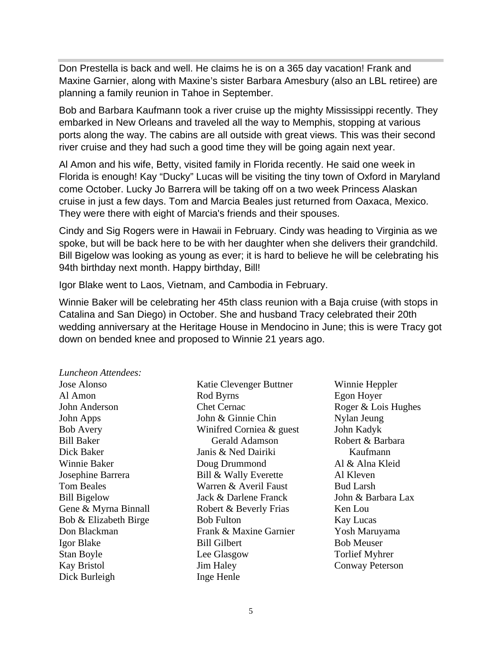Don Prestella is back and well. He claims he is on a 365 day vacation! Frank and Maxine Garnier, along with Maxine's sister Barbara Amesbury (also an LBL retiree) are planning a family reunion in Tahoe in September.

Bob and Barbara Kaufmann took a river cruise up the mighty Mississippi recently. They embarked in New Orleans and traveled all the way to Memphis, stopping at various ports along the way. The cabins are all outside with great views. This was their second river cruise and they had such a good time they will be going again next year.

Al Amon and his wife, Betty, visited family in Florida recently. He said one week in Florida is enough! Kay "Ducky" Lucas will be visiting the tiny town of Oxford in Maryland come October. Lucky Jo Barrera will be taking off on a two week Princess Alaskan cruise in just a few days. Tom and Marcia Beales just returned from Oaxaca, Mexico. They were there with eight of Marcia's friends and their spouses.

Cindy and Sig Rogers were in Hawaii in February. Cindy was heading to Virginia as we spoke, but will be back here to be with her daughter when she delivers their grandchild. Bill Bigelow was looking as young as ever; it is hard to believe he will be celebrating his 94th birthday next month. Happy birthday, Bill!

Igor Blake went to Laos, Vietnam, and Cambodia in February.

Winnie Baker will be celebrating her 45th class reunion with a Baja cruise (with stops in Catalina and San Diego) in October. She and husband Tracy celebrated their 20th wedding anniversary at the Heritage House in Mendocino in June; this is were Tracy got down on bended knee and proposed to Winnie 21 years ago.

#### *Luncheon Attendees:*

Jose Alonso Al Amon John Anderson John Apps Bob Avery Bill Baker Dick Baker Winnie Baker Josephine Barrera Tom Beales Bill Bigelow Gene & Myrna Binnall Bob & Elizabeth Birge Don Blackman Igor Blake Stan Boyle Kay Bristol Dick Burleigh

Katie Clevenger Buttner Rod Byrns Chet Cernac John & Ginnie Chin Winifred Corniea & guest Gerald Adamson Janis & Ned Dairiki Doug Drummond Bill & Wally Everette Warren & Averil Faust Jack & Darlene Franck Robert & Beverly Frias Bob Fulton Frank & Maxine Garnier Bill Gilbert Lee Glasgow Jim Haley Inge Henle

Winnie Heppler Egon Hoyer Roger & Lois Hughes Nylan Jeung John Kadyk Robert & Barbara Kaufmann Al & Alna Kleid Al Kleven Bud Larsh John & Barbara Lax Ken Lou Kay Lucas Yosh Maruyama Bob Meuser Torlief Myhrer Conway Peterson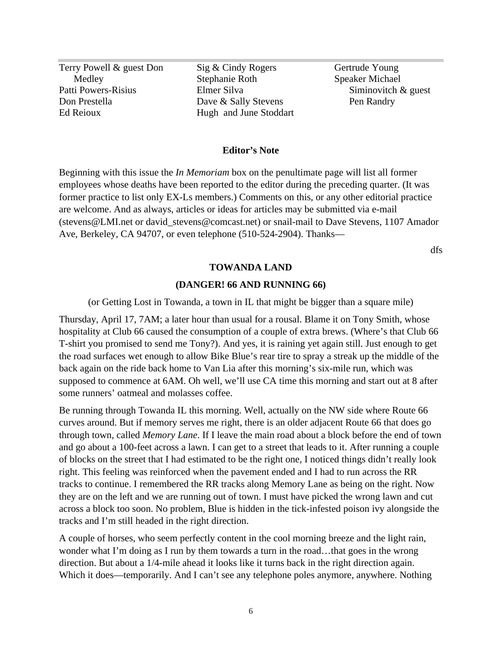Terry Powell & guest Don **Medley** Patti Powers-Risius Don Prestella Ed Reioux

Sig & Cindy Rogers Stephanie Roth Elmer Silva Dave & Sally Stevens Hugh and June Stoddart Gertrude Young Speaker Michael Siminovitch & guest Pen Randry

#### **Editor's Note**

Beginning with this issue the *In Memoriam* box on the penultimate page will list all former employees whose deaths have been reported to the editor during the preceding quarter. (It was former practice to list only EX-Ls members.) Comments on this, or any other editorial practice are welcome. And as always, articles or ideas for articles may be submitted via e-mail (stevens@LMI.net or david\_stevens@comcast.net) or snail-mail to Dave Stevens, 1107 Amador Ave, Berkeley, CA 94707, or even telephone (510-524-2904). Thanks—

dfs

#### **TOWANDA LAND**

#### **(DANGER! 66 AND RUNNING 66)**

(or Getting Lost in Towanda, a town in IL that might be bigger than a square mile)

Thursday, April 17, 7AM; a later hour than usual for a rousal. Blame it on Tony Smith, whose hospitality at Club 66 caused the consumption of a couple of extra brews. (Where's that Club 66 T-shirt you promised to send me Tony?). And yes, it is raining yet again still. Just enough to get the road surfaces wet enough to allow Bike Blue's rear tire to spray a streak up the middle of the back again on the ride back home to Van Lia after this morning's six-mile run, which was supposed to commence at 6AM. Oh well, we'll use CA time this morning and start out at 8 after some runners' oatmeal and molasses coffee.

Be running through Towanda IL this morning. Well, actually on the NW side where Route 66 curves around. But if memory serves me right, there is an older adjacent Route 66 that does go through town, called *Memory Lane*. If I leave the main road about a block before the end of town and go about a 100-feet across a lawn. I can get to a street that leads to it. After running a couple of blocks on the street that I had estimated to be the right one, I noticed things didn't really look right. This feeling was reinforced when the pavement ended and I had to run across the RR tracks to continue. I remembered the RR tracks along Memory Lane as being on the right. Now they are on the left and we are running out of town. I must have picked the wrong lawn and cut across a block too soon. No problem, Blue is hidden in the tick-infested poison ivy alongside the tracks and I'm still headed in the right direction.

A couple of horses, who seem perfectly content in the cool morning breeze and the light rain, wonder what I'm doing as I run by them towards a turn in the road...that goes in the wrong direction. But about a 1/4-mile ahead it looks like it turns back in the right direction again. Which it does—temporarily. And I can't see any telephone poles anymore, anywhere. Nothing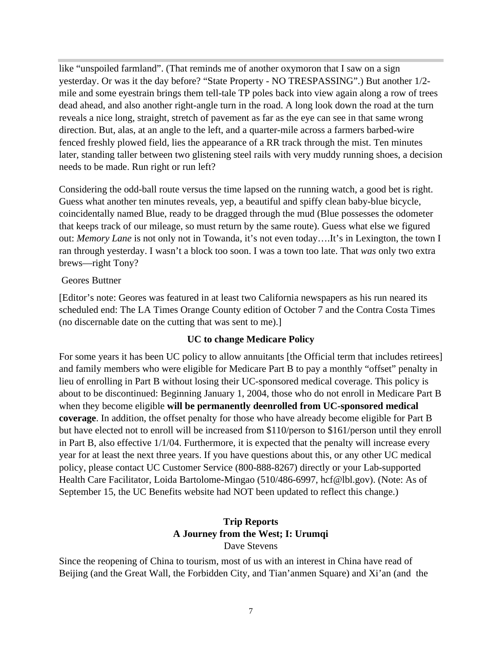like "unspoiled farmland". (That reminds me of another oxymoron that I saw on a sign yesterday. Or was it the day before? "State Property - NO TRESPASSING".) But another 1/2 mile and some eyestrain brings them tell-tale TP poles back into view again along a row of trees dead ahead, and also another right-angle turn in the road. A long look down the road at the turn reveals a nice long, straight, stretch of pavement as far as the eye can see in that same wrong direction. But, alas, at an angle to the left, and a quarter-mile across a farmers barbed-wire fenced freshly plowed field, lies the appearance of a RR track through the mist. Ten minutes later, standing taller between two glistening steel rails with very muddy running shoes, a decision needs to be made. Run right or run left?

Considering the odd-ball route versus the time lapsed on the running watch, a good bet is right. Guess what another ten minutes reveals, yep, a beautiful and spiffy clean baby-blue bicycle, coincidentally named Blue, ready to be dragged through the mud (Blue possesses the odometer that keeps track of our mileage, so must return by the same route). Guess what else we figured out: *Memory Lane* is not only not in Towanda, it's not even today….It's in Lexington, the town I ran through yesterday. I wasn't a block too soon. I was a town too late. That *was* only two extra brews—right Tony?

Geores Buttner

[Editor's note: Geores was featured in at least two California newspapers as his run neared its scheduled end: The LA Times Orange County edition of October 7 and the Contra Costa Times (no discernable date on the cutting that was sent to me).]

# **UC to change Medicare Policy**

For some years it has been UC policy to allow annuitants [the Official term that includes retirees] and family members who were eligible for Medicare Part B to pay a monthly "offset" penalty in lieu of enrolling in Part B without losing their UC-sponsored medical coverage. This policy is about to be discontinued: Beginning January 1, 2004, those who do not enroll in Medicare Part B when they become eligible **will be permanently deenrolled from UC-sponsored medical coverage**. In addition, the offset penalty for those who have already become eligible for Part B but have elected not to enroll will be increased from \$110/person to \$161/person until they enroll in Part B, also effective 1/1/04. Furthermore, it is expected that the penalty will increase every year for at least the next three years. If you have questions about this, or any other UC medical policy, please contact UC Customer Service (800-888-8267) directly or your Lab-supported Health Care Facilitator, Loida Bartolome-Mingao (510/486-6997, hcf@lbl.gov). (Note: As of September 15, the UC Benefits website had NOT been updated to reflect this change.)

# **Trip Reports A Journey from the West; I: Urumqi** Dave Stevens

Since the reopening of China to tourism, most of us with an interest in China have read of Beijing (and the Great Wall, the Forbidden City, and Tian'anmen Square) and Xi'an (and the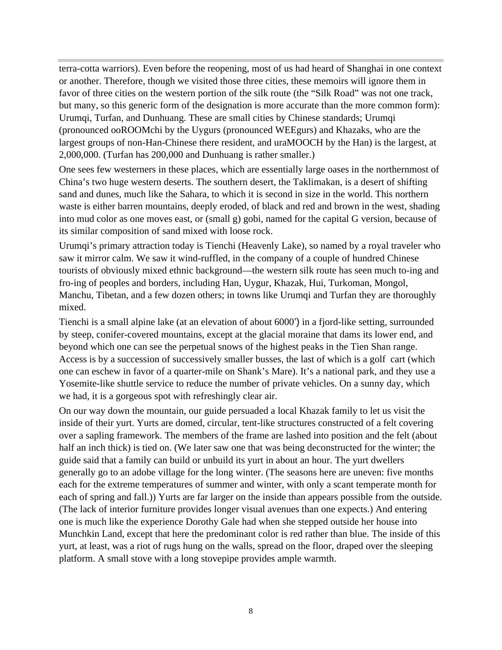terra-cotta warriors). Even before the reopening, most of us had heard of Shanghai in one context or another. Therefore, though we visited those three cities, these memoirs will ignore them in favor of three cities on the western portion of the silk route (the "Silk Road" was not one track, but many, so this generic form of the designation is more accurate than the more common form): Urumqi, Turfan, and Dunhuang. These are small cities by Chinese standards; Urumqi (pronounced ooROOMchi by the Uygurs (pronounced WEEgurs) and Khazaks, who are the largest groups of non-Han-Chinese there resident, and uraMOOCH by the Han) is the largest, at 2,000,000. (Turfan has 200,000 and Dunhuang is rather smaller.)

One sees few westerners in these places, which are essentially large oases in the northernmost of China's two huge western deserts. The southern desert, the Taklimakan, is a desert of shifting sand and dunes, much like the Sahara, to which it is second in size in the world. This northern waste is either barren mountains, deeply eroded, of black and red and brown in the west, shading into mud color as one moves east, or (small g) gobi, named for the capital G version, because of its similar composition of sand mixed with loose rock.

Urumqi's primary attraction today is Tienchi (Heavenly Lake), so named by a royal traveler who saw it mirror calm. We saw it wind-ruffled, in the company of a couple of hundred Chinese tourists of obviously mixed ethnic background—the western silk route has seen much to-ing and fro-ing of peoples and borders, including Han, Uygur, Khazak, Hui, Turkoman, Mongol, Manchu, Tibetan, and a few dozen others; in towns like Urumqi and Turfan they are thoroughly mixed.

Tienchi is a small alpine lake (at an elevation of about 6000') in a fjord-like setting, surrounded by steep, conifer-covered mountains, except at the glacial moraine that dams its lower end, and beyond which one can see the perpetual snows of the highest peaks in the Tien Shan range. Access is by a succession of successively smaller busses, the last of which is a golf cart (which one can eschew in favor of a quarter-mile on Shank's Mare). It's a national park, and they use a Yosemite-like shuttle service to reduce the number of private vehicles. On a sunny day, which we had, it is a gorgeous spot with refreshingly clear air.

On our way down the mountain, our guide persuaded a local Khazak family to let us visit the inside of their yurt. Yurts are domed, circular, tent-like structures constructed of a felt covering over a sapling framework. The members of the frame are lashed into position and the felt (about half an inch thick) is tied on. (We later saw one that was being deconstructed for the winter; the guide said that a family can build or unbuild its yurt in about an hour. The yurt dwellers generally go to an adobe village for the long winter. (The seasons here are uneven: five months each for the extreme temperatures of summer and winter, with only a scant temperate month for each of spring and fall.)) Yurts are far larger on the inside than appears possible from the outside. (The lack of interior furniture provides longer visual avenues than one expects.) And entering one is much like the experience Dorothy Gale had when she stepped outside her house into Munchkin Land, except that here the predominant color is red rather than blue. The inside of this yurt, at least, was a riot of rugs hung on the walls, spread on the floor, draped over the sleeping platform. A small stove with a long stovepipe provides ample warmth.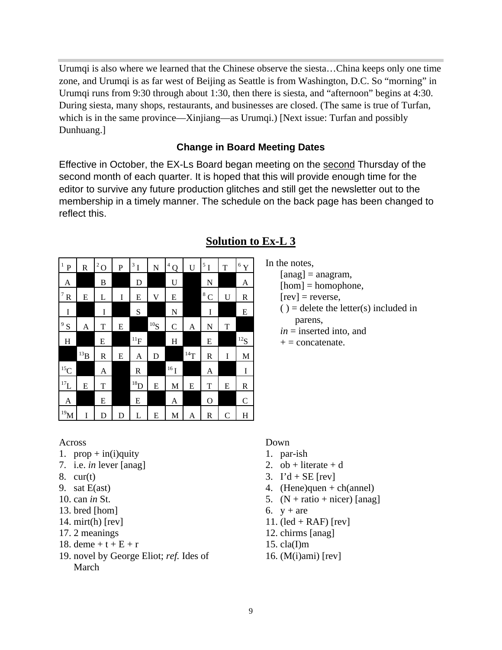Urumqi is also where we learned that the Chinese observe the siesta…China keeps only one time zone, and Urumqi is as far west of Beijing as Seattle is from Washington, D.C. So "morning" in Urumqi runs from 9:30 through about 1:30, then there is siesta, and "afternoon" begins at 4:30. During siesta, many shops, restaurants, and businesses are closed. (The same is true of Turfan, which is in the same province—Xinjiang—as Urumqi.) [Next issue: Turfan and possibly Dunhuang.]

# **Change in Board Meeting Dates**

Effective in October, the EX-Ls Board began meeting on the second Thursday of the second month of each quarter. It is hoped that this will provide enough time for the editor to survive any future production glitches and still get the newsletter out to the membership in a timely manner. The schedule on the back page has been changed to reflect this.

| $\mathbf{1}$<br>$\overline{P}$ | R                 | $^2\mbox{O}$ | P | $3^1$             | $\mathbf N$ | $\overline{4}$<br>Q | U                 | $\rm ^5$ I | T            | $^6$ Y            |
|--------------------------------|-------------------|--------------|---|-------------------|-------------|---------------------|-------------------|------------|--------------|-------------------|
| A                              |                   | B            |   | D                 |             | U                   |                   | N          |              | A                 |
| $^7\rm\,R$                     | E                 | L            | I | E                 | V           | E                   |                   | $^8\rm\,C$ | U            | R                 |
| I                              |                   | I            |   | S                 |             | $\mathbf N$         |                   | I          |              | E                 |
| 9S                             | A                 | T            | E |                   | $^{10}S$    | $\mathbf C$         | A                 | N          | T            |                   |
| H                              |                   | E            |   | $^{11}\mathrm{F}$ |             | H                   |                   | E          |              | $^{12}\mathrm{S}$ |
|                                | $^{13}\mathrm{B}$ | R            | E | A                 | D           |                     | $^{14}\mathrm{T}$ | R          | I            | M                 |
| $^{15}\mathrm{C}$              |                   | A            |   | $\mathbb R$       |             | $^{16}{\rm I}$      |                   | A          |              | I                 |
| $^{17}\mbox{L}$                | E                 | $\mathbf T$  |   | $\rm ^{18}D$      | E           | M                   | E                 | T          | E            | $\mathbb R$       |
| A                              |                   | E            |   | E                 |             | A                   |                   | O          |              | $\mathsf{C}$      |
| $^{19}$ M                      | I                 | $\mathbf D$  | D | L                 | E           | M                   | A                 | R          | $\mathsf{C}$ | H                 |

# **Solution to Ex-L 3**

In the notes,

 $[ang] = anagram$ ,

 $[hom] = homophone,$ 

 $[rev]$  = reverse,

 $()$  = delete the letter(s) included in parens,

 $in =$  inserted into, and

 $+$  = concatenate.

#### Across

- 1.  $prop + in(i)$ quity
- 7. i.e. *in* lever [anag]
- 8. cur(t)
- 9. sat E(ast)
- 10. can *in* St.
- 13. bred [hom]
- 14. mirt(h) [rev]
- 17. 2 meanings
- 18. deme +  $t + E + r$
- 19. novel by George Eliot; *ref.* Ides of March

#### Down

- 1. par-ish
- 2.  $ob + literature + d$
- 3.  $\Gamma d + \text{SE}$  [rev]
- 4. (Hene)quen + ch(annel)
- 5.  $(N + ratio + nicer)$  [anag]
- 6.  $y + are$
- 11. (led  $+$  RAF) [rev]
- 12. chirms [anag]
- 15.  $cla(I)m$
- 16. (M(i)ami) [rev]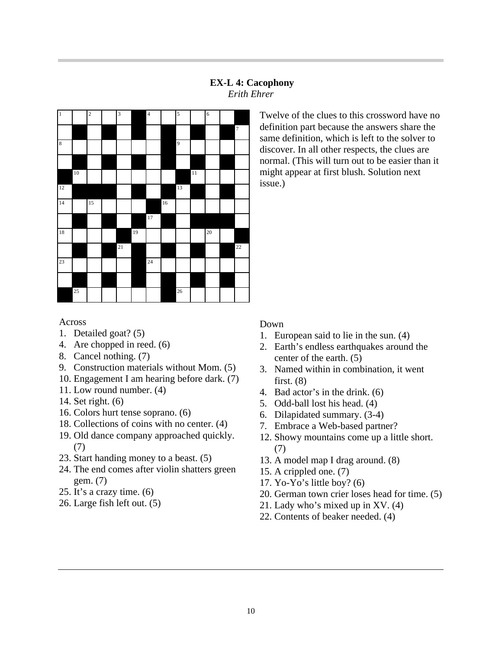# **EX-L 4: Cacophony** *Erith Ehrer*



Twelve of the clues to this crossword have no definition part because the answers share the same definition, which is left to the solver to discover. In all other respects, the clues are normal. (This will turn out to be easier than it might appear at first blush. Solution next issue.)

# Across

- 1. Detailed goat? (5)
- 4. Are chopped in reed. (6)
- 8. Cancel nothing. (7)
- 9. Construction materials without Mom. (5)
- 10. Engagement I am hearing before dark. (7)
- 11. Low round number. (4)
- 14. Set right. (6)
- 16. Colors hurt tense soprano. (6)
- 18. Collections of coins with no center. (4)
- 19. Old dance company approached quickly. (7)
- 23. Start handing money to a beast. (5)
- 24. The end comes after violin shatters green gem. (7)
- 25. It's a crazy time. (6)
- 26. Large fish left out. (5)

# Down

- 1. European said to lie in the sun. (4)
- 2. Earth's endless earthquakes around the center of the earth. (5)
- 3. Named within in combination, it went first.  $(8)$
- 4. Bad actor's in the drink. (6)
- 5. Odd-ball lost his head. (4)
- 6. Dilapidated summary. (3-4)
- 7. Embrace a Web-based partner?
- 12. Showy mountains come up a little short. (7)
- 13. A model map I drag around. (8)
- 15. A crippled one. (7)
- 17. Yo-Yo's little boy? (6)
- 20. German town crier loses head for time. (5)
- 21. Lady who's mixed up in XV. (4)
- 22. Contents of beaker needed. (4)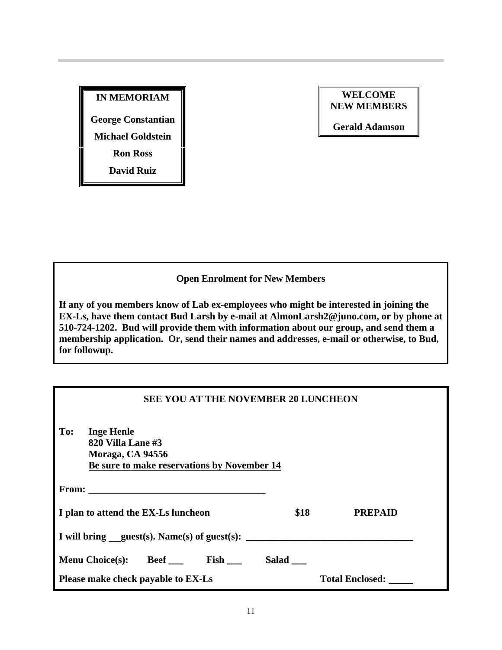# **IN MEMORIAM**

**George Constantian**

**Michael Goldstein**

**Ron Ross**

**David Ruiz**

### **WELCOME NEW MEMBERS**

**Gerald Adamson**

# **Open Enrolment for New Members**

**If any of you members know of Lab ex-employees who might be interested in joining the EX-Ls, have them contact Bud Larsh by e-mail at AlmonLarsh2@juno.com, or by phone at 510-724-1202. Bud will provide them with information about our group, and send them a membership application. Or, send their names and addresses, e-mail or otherwise, to Bud, for followup.**

# **SEE YOU AT THE NOVEMBER 20 LUNCHEON**

| To:                                 | <b>Inge Henle</b><br>820 Villa Lane #3<br>Moraga, CA 94556 |  | Be sure to make reservations by November 14 |       |                                                |
|-------------------------------------|------------------------------------------------------------|--|---------------------------------------------|-------|------------------------------------------------|
|                                     |                                                            |  |                                             |       |                                                |
| I plan to attend the EX-Ls luncheon |                                                            |  |                                             | \$18  | <b>PREPAID</b>                                 |
|                                     |                                                            |  |                                             |       | I will bring $quest(s)$ . Name(s) of guest(s): |
|                                     | Menu Choice(s): Beef _____ Fish ___                        |  |                                             | Salad |                                                |
|                                     | Please make check payable to EX-Ls                         |  |                                             |       | <b>Total Enclosed:</b>                         |